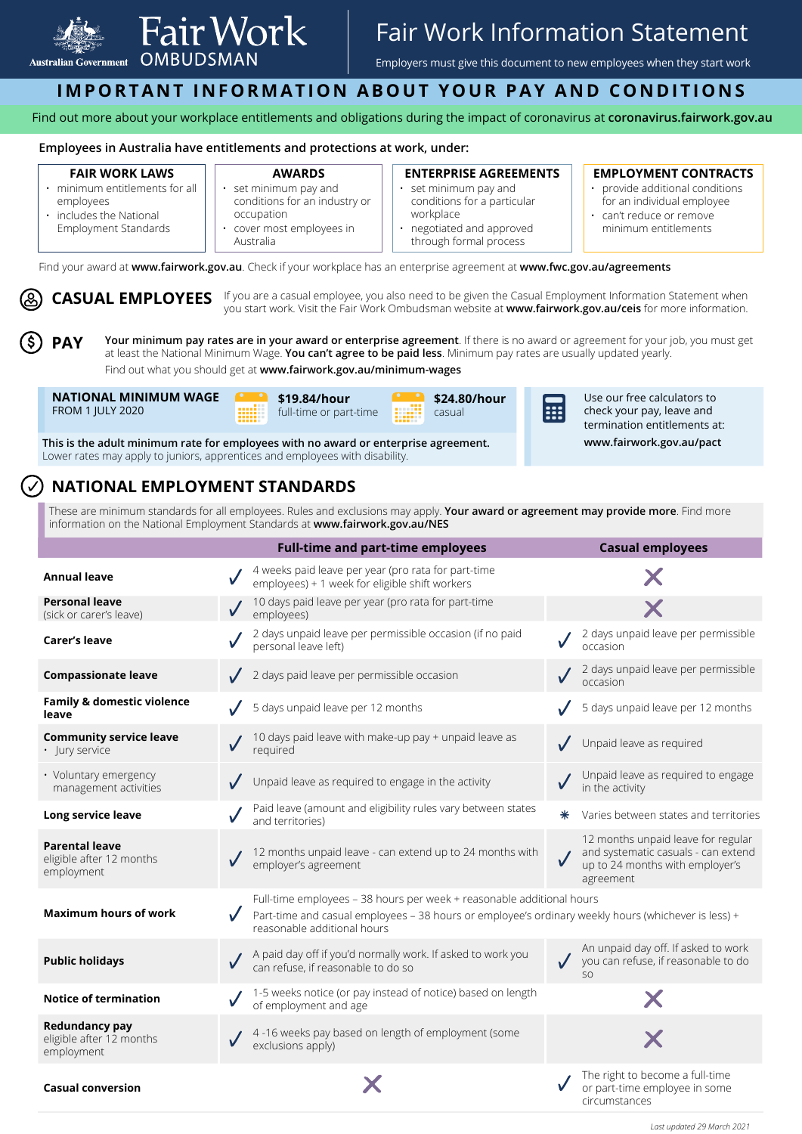

# Fair Work Information Statement

Employers must give this document to new employees when they start work

## **IMPORTANT INFORMATION ABOUT YOUR PAY AND CONDITIONS**

Find out more about your workplace entitlements and obligations during the impact of coronavirus at **[coronavirus.fairwork.gov.au](http://coronavirus.fairwork.gov.au)**

### **Employees in Australia have entitlements and protections at work, under:**

### **FAIR WORK LAWS**

- minimum entitlements for all employees • includes the National
	- Employment Standards conditions for an industry or occupation cover most employees in
		- Australia

**AWARDS**  • set minimum pay and

### **ENTERPRISE AGREEMENTS**

- set minimum pay and conditions for a particular workplace
- negotiated and approved through formal process

### **EMPLOYMENT CONTRACTS**

- provide additional conditions for an individual employee
- can't reduce or remove minimum entitlements

Find your award at **[www.fairwork.gov.au](http://www.fairwork.gov.au)**. Check if your workplace has an enterprise agreement at **[www.fwc.gov.au/agreements](http://www.fwc.gov.au/agreements)**

**CASUAL EMPLOYEES** If you are a casual employee, you also need to be given the Casual Employment Information Statement when<br> **CASUAL EMPLOYEES** If you atenticed Market Frie Media Orbiding a provision at uncertainment and a you start work. Visit the Fair Work Ombudsman website at **[www.fairwork.gov.au/ceis](http://www.fairwork.gov.au/ceis)** for more information.

**PAY Your minimum pay rates are in your award or enterprise agreement**. If there is no award or agreement for your job, you must get at least the National Minimum Wage. **You can't agree to be paid less**. Minimum pay rates are usually updated yearly. Find out what you should get at **[www.fairwork.gov.au/minimum-wages](http://www.fairwork.gov.au/minimum-wages)**





**\$24.80/hour**  casual a an



Use our free calculators to check your pay, leave and termination entitlements at:

**www.fairwork.gov.au/pact**

**This is the adult minimum rate for employees with no award or enterprise agreement.** Lower rates may apply to juniors, apprentices and employees with disability.

## **NATIONAL EMPLOYMENT STANDARDS**

These are minimum standards for all employees. Rules and exclusions may apply. **Your award or agreement may provide more**. Find more information on the National Employment Standards at **[www.fairwork.gov.au/NES](http://www.fairwork.gov.au/NES)**

|                                                                 | <b>Full-time and part-time employees</b>                                                                                                                                                                    | <b>Casual employees</b>                                                                                                   |
|-----------------------------------------------------------------|-------------------------------------------------------------------------------------------------------------------------------------------------------------------------------------------------------------|---------------------------------------------------------------------------------------------------------------------------|
| <b>Annual leave</b>                                             | 4 weeks paid leave per year (pro rata for part-time<br>employees) + 1 week for eligible shift workers                                                                                                       |                                                                                                                           |
| <b>Personal leave</b><br>(sick or carer's leave)                | 10 days paid leave per year (pro rata for part-time<br>employees)                                                                                                                                           |                                                                                                                           |
| <b>Carer's leave</b>                                            | 2 days unpaid leave per permissible occasion (if no paid<br>personal leave left)                                                                                                                            | 2 days unpaid leave per permissible<br>occasion                                                                           |
| <b>Compassionate leave</b>                                      | 2 days paid leave per permissible occasion                                                                                                                                                                  | 2 days unpaid leave per permissible<br>occasion                                                                           |
| <b>Family &amp; domestic violence</b><br>leave                  | 5 days unpaid leave per 12 months                                                                                                                                                                           | 5 days unpaid leave per 12 months                                                                                         |
| <b>Community service leave</b><br>· lury service                | 10 days paid leave with make-up pay + unpaid leave as<br>required                                                                                                                                           | Unpaid leave as required                                                                                                  |
| • Voluntary emergency<br>management activities                  | Unpaid leave as required to engage in the activity                                                                                                                                                          | Unpaid leave as required to engage<br>in the activity                                                                     |
| Long service leave                                              | Paid leave (amount and eligibility rules vary between states<br>and territories)                                                                                                                            | Varies between states and territories<br>$\ast$                                                                           |
| <b>Parental leave</b><br>eligible after 12 months<br>employment | 12 months unpaid leave - can extend up to 24 months with<br>employer's agreement                                                                                                                            | 12 months unpaid leave for regular<br>and systematic casuals - can extend<br>up to 24 months with employer's<br>agreement |
| <b>Maximum hours of work</b>                                    | Full-time employees - 38 hours per week + reasonable additional hours<br>Part-time and casual employees - 38 hours or employee's ordinary weekly hours (whichever is less) +<br>reasonable additional hours |                                                                                                                           |
| <b>Public holidays</b>                                          | A paid day off if you'd normally work. If asked to work you<br>can refuse, if reasonable to do so                                                                                                           | An unpaid day off. If asked to work<br>you can refuse, if reasonable to do<br>SO                                          |
| <b>Notice of termination</b>                                    | 1-5 weeks notice (or pay instead of notice) based on length<br>of employment and age                                                                                                                        |                                                                                                                           |
| <b>Redundancy pay</b><br>eligible after 12 months<br>employment | 4-16 weeks pay based on length of employment (some<br>exclusions apply)                                                                                                                                     |                                                                                                                           |
| <b>Casual conversion</b>                                        |                                                                                                                                                                                                             | The right to become a full-time<br>or part-time employee in some                                                          |

*Last updated 29 March 2021*

circumstances